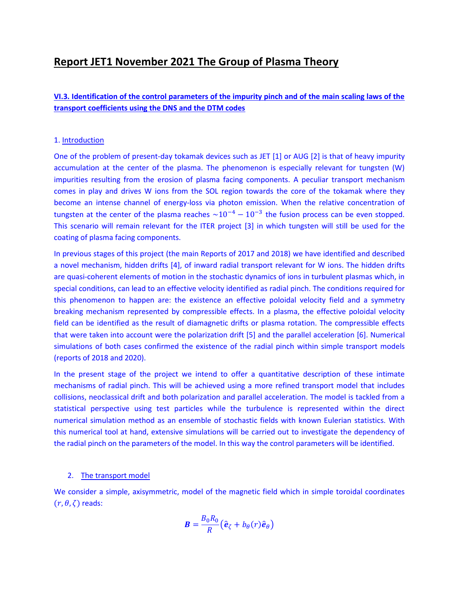# **Report JET1 November 2021 The Group of Plasma Theory**

# **VI.3. Identification of the control parameters of the impurity pinch and of the main scaling laws of the transport coefficients using the DNS and the DTM codes**

# 1. Introduction

One of the problem of present-day tokamak devices such as JET [1] or AUG [2] is that of heavy impurity accumulation at the center of the plasma. The phenomenon is especially relevant for tungsten (W) impurities resulting from the erosion of plasma facing components. A peculiar transport mechanism comes in play and drives W ions from the SOL region towards the core of the tokamak where they become an intense channel of energy-loss via photon emission. When the relative concentration of tungsten at the center of the plasma reaches  $\sim 10^{-4} - 10^{-3}$  the fusion process can be even stopped. This scenario will remain relevant for the ITER project [3] in which tungsten will still be used for the coating of plasma facing components.

In previous stages of this project (the main Reports of 2017 and 2018) we have identified and described a novel mechanism, hidden drifts [4], of inward radial transport relevant for W ions. The hidden drifts are quasi-coherent elements of motion in the stochastic dynamics of ions in turbulent plasmas which, in special conditions, can lead to an effective velocity identified as radial pinch. The conditions required for this phenomenon to happen are: the existence an effective poloidal velocity field and a symmetry breaking mechanism represented by compressible effects. In a plasma, the effective poloidal velocity field can be identified as the result of diamagnetic drifts or plasma rotation. The compressible effects that were taken into account were the polarization drift [5] and the parallel acceleration [6]. Numerical simulations of both cases confirmed the existence of the radial pinch within simple transport models (reports of 2018 and 2020).

In the present stage of the project we intend to offer a quantitative description of these intimate mechanisms of radial pinch. This will be achieved using a more refined transport model that includes collisions, neoclassical drift and both polarization and parallel acceleration. The model is tackled from a statistical perspective using test particles while the turbulence is represented within the direct numerical simulation method as an ensemble of stochastic fields with known Eulerian statistics. With this numerical tool at hand, extensive simulations will be carried out to investigate the dependency of the radial pinch on the parameters of the model. In this way the control parameters will be identified.

# 2. The transport model

We consider a simple, axisymmetric, model of the magnetic field which in simple toroidal coordinates  $(r, \theta, \zeta)$  reads:

$$
\boldsymbol{B} = \frac{B_0 R_0}{R} \big( \hat{\boldsymbol{e}}_{\zeta} + b_{\theta}(r) \hat{\boldsymbol{e}}_{\theta} \big)
$$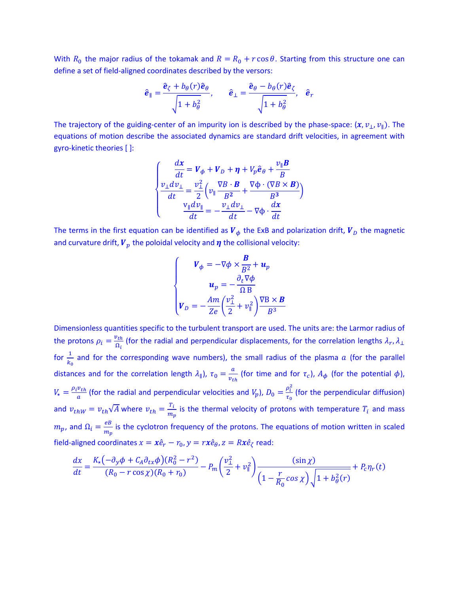With  $R_0$  the major radius of the tokamak and  $R = R_0 + r \cos \theta$ . Starting from this structure one can define a set of field-aligned coordinates described by the versors:

$$
\hat{\boldsymbol{e}}_{\parallel} = \frac{\hat{\boldsymbol{e}}_{\zeta} + b_{\theta}(r)\hat{\boldsymbol{e}}_{\theta}}{\sqrt{1 + b_{\theta}^2}}, \qquad \hat{\boldsymbol{e}}_{\perp} = \frac{\hat{\boldsymbol{e}}_{\theta} - b_{\theta}(r)\hat{\boldsymbol{e}}_{\zeta}}{\sqrt{1 + b_{\theta}^2}}, \quad \hat{\boldsymbol{e}}_{r}
$$

The trajectory of the guiding-center of an impurity ion is described by the phase-space:  $(x, v_1, v_0)$ . The equations of motion describe the associated dynamics are standard drift velocities, in agreement with gyro-kinetic theories [ ]:

$$
\begin{cases}\n\frac{dx}{dt} = V_{\phi} + V_{D} + \eta + V_{p} \hat{e}_{\theta} + \frac{\nu_{\parallel} B}{B} \\
\frac{\nu_{\perp} dv_{\perp}}{dt} = \frac{\nu_{\perp}^{2}}{2} \left( \nu_{\parallel} \frac{\nabla B \cdot B}{B^{2}} + \frac{\nabla \phi \cdot (\nabla B \times B)}{B^{3}} \right) \\
\frac{\nu_{\parallel} dv_{\parallel}}{dt} = -\frac{\nu_{\perp} dv_{\perp}}{dt} - \nabla \phi \cdot \frac{dx}{dt}\n\end{cases}
$$

The terms in the first equation can be identified as  $V_{\phi}$  the ExB and polarization drift,  $V_{D}$  the magnetic and curvature drift,  $V_p$  the poloidal velocity and  $\eta$  the collisional velocity:

$$
\begin{cases}\n\qquad \mathbf{V}_{\phi} = -\nabla \phi \times \frac{\mathbf{B}}{B^2} + \mathbf{u}_p \\
\mathbf{u}_p = -\frac{\partial_t \nabla \phi}{\Omega B} \\
\mathbf{V}_D = -\frac{Am}{Ze} \left(\frac{v_1^2}{2} + v_1^2\right) \frac{\nabla B \times \mathbf{B}}{B^3}\n\end{cases}
$$

Dimensionless quantities specific to the turbulent transport are used. The units are: the Larmor radius of the protons  $\rho_i = \frac{v_{th}}{0}$  $\frac{\partial^2 t h}{\partial q}$  (for the radial and perpendicular displacements, for the correlation lengths  $\lambda_r$ ,  $\lambda_\perp$ for  $\frac{1}{k_0}$  and for the corresponding wave numbers), the small radius of the plasma  $a$  (for the parallel distances and for the correlation length  $\lambda_{\parallel}$ ),  $\tau_0 = \frac{a}{n}$  $\frac{a}{v_{th}}$  (for time and for  $\tau_c$ ),  $A_{\phi}$  (for the potential  $\phi$ ),  $V_{\star} = \frac{\rho_i v_{th}}{a}$  $\frac{v_{th}}{a}$  (for the radial and perpendicular velocities and  $V_p$ ),  $D_0 = \frac{\rho_i^2}{\tau_0}$  $\frac{\mu_i}{\tau_0}$  (for the perpendicular diffusion) and  $v_{thW} = v_{th}\sqrt{A}$  where  $v_{th} = \frac{r_i}{m}$  $\frac{r_l}{m_p}$  is the thermal velocity of protons with temperature  $T_i$  and mass  $m_p$ , and  $\Omega_i = \frac{eB}{m_e}$  $\frac{eB}{m_p}$  is the cyclotron frequency of the protons. The equations of motion written in scaled field-aligned coordinates  $x = x\hat{e}_r - r_0$ ,  $y = r x\hat{e}_\theta$ ,  $z = Rx\hat{e}_\zeta$  read:

$$
\frac{dx}{dt} = \frac{K_{\star}(-\partial_y \phi + C_A \partial_{tx} \phi)(R_0^2 - r^2)}{(R_0 - r \cos \chi)(R_0 + r_0)} - P_m \left(\frac{v_1^2}{2} + v_1^2\right) \frac{(\sin \chi)}{\left(1 - \frac{r}{R_0} \cos \chi\right) \sqrt{1 + b_\theta^2(r)}} + P_c \eta_r(t)
$$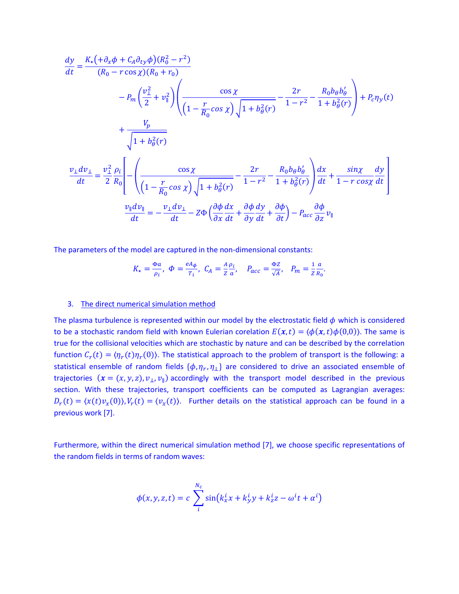$$
\frac{dy}{dt} = \frac{K_{\star}(\partial_x \phi + C_A \partial_{ty} \phi)(R_0^2 - r^2)}{(R_0 - r \cos \chi)(R_0 + r_0)}
$$
\n
$$
- P_m \left(\frac{v_1^2}{2} + v_1^2\right) \left(\frac{\cos \chi}{\left(1 - \frac{r}{R_0} \cos \chi\right) \sqrt{1 + b_\theta^2(r)}} - \frac{2r}{1 - r^2} - \frac{R_0 b_\theta b_\theta'}{1 + b_\theta^2(r)}\right) + P_c \eta_y(t)
$$
\n
$$
+ \frac{V_p}{\sqrt{1 + b_\theta^2(r)}}
$$
\n
$$
\frac{v_\perp dv_\perp}{dt} = \frac{v_\perp^2 \rho_i}{2 R_0} \left[ - \left(\frac{\cos \chi}{\left(1 - \frac{r}{R_0} \cos \chi\right) \sqrt{1 + b_\theta^2(r)}} - \frac{2r}{1 - r^2} - \frac{R_0 b_\theta b_\theta'}{1 + b_\theta^2(r)}\right) \frac{dx}{dt} + \frac{\sin \chi}{1 - r \cos \chi} \frac{dy}{dt} \right]
$$
\n
$$
\frac{v_\parallel dv_\parallel}{dt} = -\frac{v_\perp dv_\perp}{dt} - Z\Phi \left(\frac{\partial \phi}{\partial x} \frac{dx}{dt} + \frac{\partial \phi}{\partial y} \frac{dy}{dt} + \frac{\partial \phi}{\partial t}\right) - P_{acc} \frac{\partial \phi}{\partial z} v_\parallel
$$

The parameters of the model are captured in the non-dimensional constants:

$$
K_{\star} = \frac{\Phi a}{\rho_i}, \quad \Phi = \frac{e A_{\phi}}{T_i}, \quad C_A = \frac{A}{Z} \frac{\rho_i}{a}, \quad P_{acc} = \frac{\Phi Z}{\sqrt{A}}, \quad P_m = \frac{1}{Z R_0}.
$$

### 3. The direct numerical simulation method

The plasma turbulence is represented within our model by the electrostatic field  $\phi$  which is considered to be a stochastic random field with known Eulerian corelation  $E(x,t) = \langle \phi(x,t) \phi(0,0) \rangle$ . The same is true for the collisional velocities which are stochastic by nature and can be described by the correlation function  $C_r(t) = \langle \eta_r(t) \eta_r(0) \rangle$ . The statistical approach to the problem of transport is the following: a statistical ensemble of random fields  $\{\phi, \eta_r, \eta_{\perp}\}$  are considered to drive an associated ensemble of trajectories  $(x = (x, y, z), v_{\perp}, v_{\parallel})$  accordingly with the transport model described in the previous section. With these trajectories, transport coefficients can be computed as Lagrangian averages:  $D_r(t) = \langle x(t)v_x(0) \rangle, V_r(t) = \langle v_x(t) \rangle$ . Further details on the statistical approach can be found in a previous work [7].

Furthermore, within the direct numerical simulation method [7], we choose specific representations of the random fields in terms of random waves:

$$
\phi(x, y, z, t) = c \sum_{i}^{N_c} \sin(k_x^i x + k_y^i y + k_z^i z - \omega^i t + \alpha^i)
$$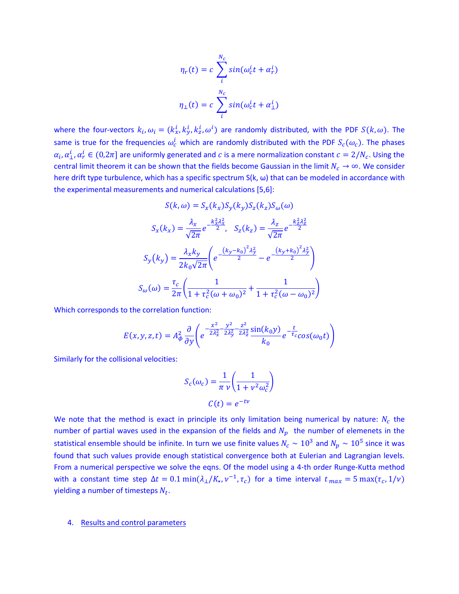$$
\eta_r(t) = c \sum_{i}^{N_c} \sin(\omega_c^i t + \alpha_r^i)
$$

$$
\eta_{\perp}(t) = c \sum_{i}^{N_c} \sin(\omega_c^i t + \alpha_{\perp}^i)
$$

where the four-vectors  $k_i,\omega_i=(k_x^i,k_y^i,k_z^i,\omega^i)$  are randomly distributed, with the PDF  $S(k,\omega).$  The same is true for the frequencies  $\omega_c^i$  which are randomly distributed with the PDF  $S_c(\omega_c)$ . The phases  $\alpha_i, \alpha_\perp^i, \alpha_r^i \in (0,2\pi]$  are uniformly generated and  $c$  is a mere normalization constant  $c=2/N_c$ . Using the central limit theorem it can be shown that the fields become Gaussian in the limit  $N_c \to \infty$ . We consider here drift type turbulence, which has a specific spectrum S(k, ω) that can be modeled in accordance with the experimental measurements and numerical calculations [5,6]:

$$
S(k,\omega) = S_x(k_x)S_y(k_y)S_z(k_z)S_{\omega}(\omega)
$$

$$
S_x(k_x) = \frac{\lambda_x}{\sqrt{2\pi}}e^{-\frac{k_x^2\lambda_x^2}{2}}, \quad S_z(k_z) = \frac{\lambda_z}{\sqrt{2\pi}}e^{-\frac{k_z^2\lambda_z^2}{2}}
$$

$$
S_y(k_y) = \frac{\lambda_x k_y}{2k_0\sqrt{2\pi}}\left(e^{-\frac{(k_y - k_0)^2\lambda_y^2}{2}} - e^{-\frac{(k_y + k_0)^2\lambda_y^2}{2}}\right)
$$

$$
S_{\omega}(\omega) = \frac{\tau_c}{2\pi}\left(\frac{1}{1 + \tau_c^2(\omega + \omega_0)^2} + \frac{1}{1 + \tau_c^2(\omega - \omega_0)^2}\right)
$$

Which corresponds to the correlation function:

$$
E(x, y, z, t) = A_{\phi}^2 \frac{\partial}{\partial y} \left( e^{-\frac{x^2}{2\lambda_x^2} - \frac{y^2}{2\lambda_y^2} - \frac{z^2}{2\lambda_z^2} \frac{\sin(k_0 y)}{k_0} e^{-\frac{t}{\tau_c}} \cos(\omega_0 t) \right)
$$

Similarly for the collisional velocities:

$$
S_c(\omega_c) = \frac{1}{\pi \nu} \left( \frac{1}{1 + \nu^2 \omega_c^2} \right)
$$

$$
C(t) = e^{-tv}
$$

We note that the method is exact in principle its only limitation being numerical by nature:  $N_c$  the number of partial waves used in the expansion of the fields and  $N_p$  the number of elemenets in the statistical ensemble should be infinite. In turn we use finite values  $N_c \sim 10^3$  and  $N_p \sim 10^5$  since it was found that such values provide enough statistical convergence both at Eulerian and Lagrangian levels. From a numerical perspective we solve the eqns. Of the model using a 4-th order Runge-Kutta method with a constant time step  $\Delta t = 0.1 \min(\lambda_1/K_{\star}, \nu^{-1}, \tau_c)$  for a time interval  $t_{max} = 5 \max(\tau_c, 1/\nu)$ yielding a number of timesteps  $N_t$ .

## 4. Results and control parameters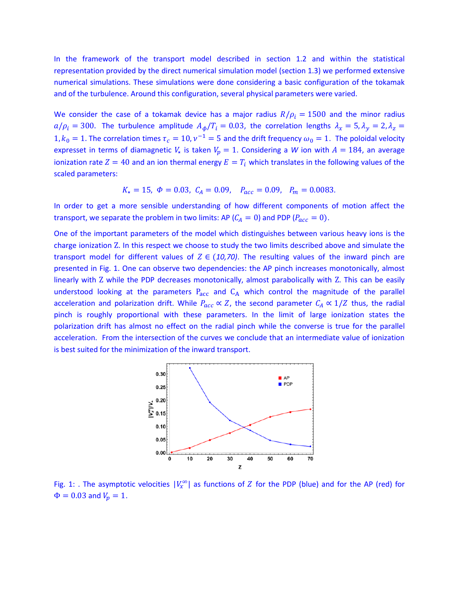In the framework of the transport model described in section 1.2 and within the statistical representation provided by the direct numerical simulation model (section 1.3) we performed extensive numerical simulations. These simulations were done considering a basic configuration of the tokamak and of the turbulence. Around this configuration, several physical parameters were varied.

We consider the case of a tokamak device has a major radius  $R/\rho_i = 1500$  and the minor radius  $a/\rho_i = 300$ . The turbulence amplitude  $A_\phi/T_i = 0.03$ , the correlation lengths  $\lambda_x = 5$ ,  $\lambda_y = 2$ ,  $\lambda_z = 1$ 1,  $k_0 = 1$ . The correlation times  $\tau_c = 10$ ,  $\nu^{-1} = 5$  and the drift frequency  $\omega_0 = 1$ . The poloidal velocity expresset in terms of diamagnetic  $V_{\star}$  is taken  $V_p = 1$ . Considering a *W* ion with  $A = 184$ , an average ionization rate  $Z = 40$  and an ion thermal energy  $E = T_i$  which translates in the following values of the scaled parameters:

$$
K_{\star} = 15, \ \Phi = 0.03, \ C_A = 0.09, \ P_{acc} = 0.09, \ P_m = 0.0083.
$$

In order to get a more sensible understanding of how different components of motion affect the transport, we separate the problem in two limits: AP ( $C_A = 0$ ) and PDP ( $P_{acc} = 0$ ).

One of the important parameters of the model which distinguishes between various heavy ions is the charge ionization Z. In this respect we choose to study the two limits described above and simulate the transport model for different values of  $Z \in (10, 70)$ . The resulting values of the inward pinch are presented in Fig. 1. One can observe two dependencies: the AP pinch increases monotonically, almost linearly with Z while the PDP decreases monotonically, almost parabolically with Z. This can be easily understood looking at the parameters  $P_{acc}$  and  $C_A$  which control the magnitude of the parallel acceleration and polarization drift. While  $P_{acc} \propto Z$ , the second parameter  $C_A \propto 1/Z$  thus, the radial pinch is roughly proportional with these parameters. In the limit of large ionization states the polarization drift has almost no effect on the radial pinch while the converse is true for the parallel acceleration. From the intersection of the curves we conclude that an intermediate value of ionization is best suited for the minimization of the inward transport.



Fig. 1: . The asymptotic velocities  $|V_x^{\infty}|$  as functions of Z for the PDP (blue) and for the AP (red) for  $\Phi = 0.03$  and  $V_p = 1$ .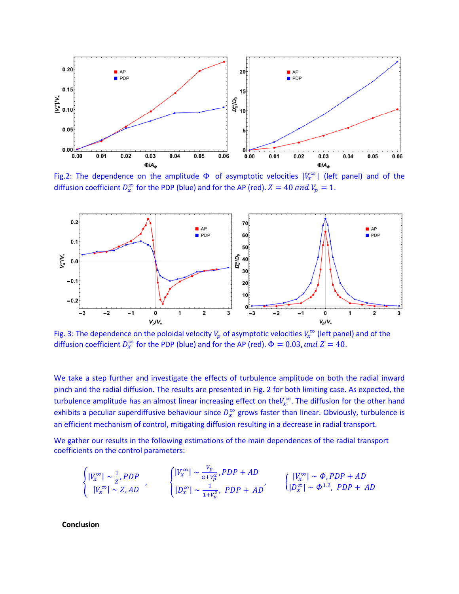

Fig.2: The dependence on the amplitude  $\Phi$  of asymptotic velocities  $|V_x^{\infty}|$  (left panel) and of the diffusion coefficient  $D_x^{\infty}$  for the PDP (blue) and for the AP (red).  $Z = 40$  and  $V_p = 1$ .



Fig. 3: The dependence on the poloidal velocity  $V_p$  of asymptotic velocities  $V_x^{\infty}$  (left panel) and of the diffusion coefficient  $D_x^{\infty}$  for the PDP (blue) and for the AP (red).  $\Phi = 0.03$ , and  $Z = 40$ .

We take a step further and investigate the effects of turbulence amplitude on both the radial inward pinch and the radial diffusion. The results are presented in Fig. 2 for both limiting case. As expected, the turbulence amplitude has an almost linear increasing effect on the $V_x^{\infty}$ . The diffusion for the other hand exhibits a peculiar superdiffusive behaviour since  $D_x^{\infty}$  grows faster than linear. Obviously, turbulence is an efficient mechanism of control, mitigating diffusion resulting in a decrease in radial transport.

We gather our results in the following estimations of the main dependences of the radial transport coefficients on the control parameters:

$$
\begin{cases}\n|V_x^{\infty}| \sim \frac{1}{z}, PDP \\
|V_x^{\infty}| \sim Z, AD\n\end{cases}, \n\begin{cases}\n|V_x^{\infty}| \sim \frac{V_p}{a + V_p^2}, PDP + AD \\
|D_x^{\infty}| \sim \frac{1}{1 + V_p^2}, PDP + AD\n\end{cases}, \n\begin{cases}\n|V_x^{\infty}| \sim \Phi, PDP + AD \\
|D_x^{\infty}| \sim \Phi^{1.2}, PDP + AD\n\end{cases}
$$

**Conclusion**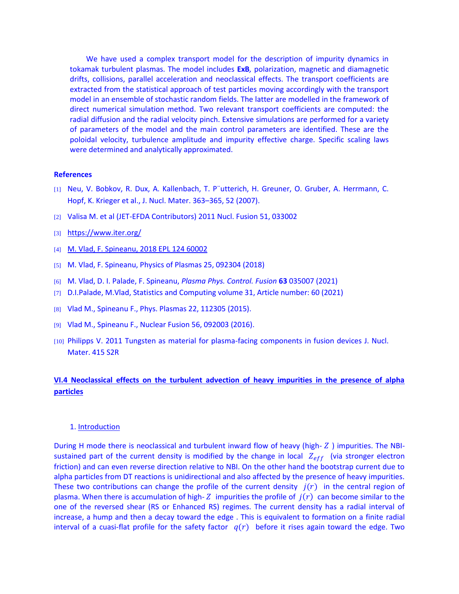We have used a complex transport model for the description of impurity dynamics in tokamak turbulent plasmas. The model includes **ExB***,* polarization, magnetic and diamagnetic drifts, collisions, parallel acceleration and neoclassical effects. The transport coefficients are extracted from the statistical approach of test particles moving accordingly with the transport model in an ensemble of stochastic random fields. The latter are modelled in the framework of direct numerical simulation method. Two relevant transport coefficients are computed: the radial diffusion and the radial velocity pinch. Extensive simulations are performed for a variety of parameters of the model and the main control parameters are identified. These are the poloidal velocity, turbulence amplitude and impurity effective charge. Specific scaling laws were determined and analytically approximated.

#### **References**

- [1] Neu, V. Bobkov, R. Dux, A. Kallenbach, T. P¨utterich, H. Greuner, O. Gruber, A. Herrmann, C. Hopf, K. Krieger et al., J. Nucl. Mater. 363–365, 52 (2007).
- [2] Valisa M. et al (JET-EFDA Contributors) 2011 Nucl. Fusion 51, 033002
- [3] <https://www.iter.org/>
- [4] M. Vlad, F. Spineanu, 2018 EPL 124 60002
- [5] M. Vlad, F. Spineanu, Physics of Plasmas 25, 092304 (2018)
- [6] M. Vlad, D. I. Palade, F. Spineanu, *Plasma Phys. Control. Fusion* **63** 035007 (2021)
- [7] D.I.Palade, M.Vlad, Statistics and Computing volume 31, Article number: 60 (2021)
- [8] Vlad M., Spineanu F., Phys. Plasmas 22, 112305 (2015).
- [9] Vlad M., Spineanu F., Nuclear Fusion 56, 092003 (2016).
- [10] Philipps V. 2011 Tungsten as material for plasma-facing components in fusion devices J. Nucl. Mater. 415 S2R

# **VI.4 Neoclassical effects on the turbulent advection of heavy impurities in the presence of alpha particles**

# 1. Introduction

During H mode there is neoclassical and turbulent inward flow of heavy (high- $Z$ ) impurities. The NBIsustained part of the current density is modified by the change in local  $Z_{eff}$  (via stronger electron friction) and can even reverse direction relative to NBI. On the other hand the bootstrap current due to alpha particles from DT reactions is unidirectional and also affected by the presence of heavy impurities. These two contributions can change the profile of the current density  $j(r)$  in the central region of plasma. When there is accumulation of high- Z impurities the profile of  $j(r)$  can become similar to the one of the reversed shear (RS or Enhanced RS) regimes. The current density has a radial interval of increase, a hump and then a decay toward the edge . This is equivalent to formation on a finite radial interval of a cuasi-flat profile for the safety factor  $q(r)$  before it rises again toward the edge. Two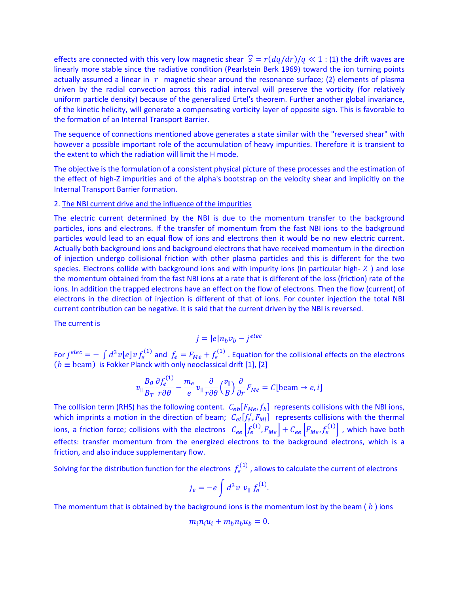effects are connected with this very low magnetic shear  $\hat{s} = r(dq/dr)/q \ll 1$ : (1) the drift waves are linearly more stable since the radiative condition (Pearlstein Berk 1969) toward the ion turning points actually assumed a linear in  $r$  magnetic shear around the resonance surface; (2) elements of plasma driven by the radial convection across this radial interval will preserve the vorticity (for relatively uniform particle density) because of the generalized Ertel's theorem. Further another global invariance, of the kinetic helicity, will generate a compensating vorticity layer of opposite sign. This is favorable to the formation of an Internal Transport Barrier.

The sequence of connections mentioned above generates a state similar with the "reversed shear" with however a possible important role of the accumulation of heavy impurities. Therefore it is transient to the extent to which the radiation will limit the H mode.

The objective is the formulation of a consistent physical picture of these processes and the estimation of the effect of high-Z impurities and of the alpha's bootstrap on the velocity shear and implicitly on the Internal Transport Barrier formation.

# 2. The NBI current drive and the influence of the impurities

 $\mathcal{L}(\mathbf{x})$ 

The electric current determined by the NBI is due to the momentum transfer to the background particles, ions and electrons. If the transfer of momentum from the fast NBI ions to the background particles would lead to an equal flow of ions and electrons then it would be no new electric current. Actually both background ions and background electrons that have received momentum in the direction of injection undergo collisional friction with other plasma particles and this is different for the two species. Electrons collide with background ions and with impurity ions (in particular high- $Z$ ) and lose the momentum obtained from the fast NBI ions at a rate that is different of the loss (friction) rate of the ions. In addition the trapped electrons have an effect on the flow of electrons. Then the flow (current) of electrons in the direction of injection is different of that of ions. For counter injection the total NBI current contribution can be negative. It is said that the current driven by the NBI is reversed.

The current is

$$
j = |e|n_b v_b - j^{elec}
$$

For  $j^{elec} = -\int d^3v [e] v f_e^{(1)}$  and  $f_e = F_{Me} + f_e^{(1)}$  . Equation for the collisional effects on the electrons  $(b \equiv$  beam) is Fokker Planck with only neoclassical drift [1], [2]

$$
v_{\parallel} \frac{B_{\theta}}{B_{T}} \frac{\partial f_{e}^{(1)}}{r \partial \theta} - \frac{m_{e}}{e} v_{\parallel} \frac{\partial}{r \partial \theta} \left(\frac{v_{\parallel}}{B}\right) \frac{\partial}{\partial r} F_{Me} = C \text{[beam} \rightarrow e, i\text{]}
$$

The collision term (RHS) has the following content.  $C_{eb}[F_{Me}, f_b]$  represents collisions with the NBI ions, which imprints a motion in the direction of beam;  $C_{ei}[f'_e, F_{Mi}]$  represents collisions with the thermal ions, a friction force; collisions with the electrons  $\;C_{ee}\left[f^{(1)}_e,F_{Me}\right]+C_{ee}\left[F_{Me},f^{(1)}_e\right]$  , which have both effects: transfer momentum from the energized electrons to the background electrons, which is a friction, and also induce supplementary flow.

Solving for the distribution function for the electrons  $f_e^{(1)}$  , allows to calculate the current of electrons

$$
j_e = -e \int d^3v \ v_{\parallel} \ f_e^{(1)}.
$$

The momentum that is obtained by the background ions is the momentum lost by the beam ( $\bar{b}$ ) ions

$$
m_i n_i u_i + m_b n_b u_b = 0.
$$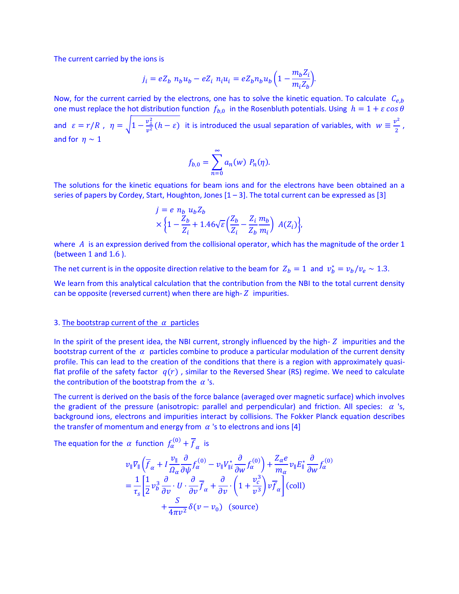The current carried by the ions is

$$
j_i = eZ_b \ n_b u_b - eZ_i \ n_i u_i = eZ_b n_b u_b \left(1 - \frac{m_b Z_i}{m_i Z_b}\right).
$$

Now, for the current carried by the electrons, one has to solve the kinetic equation. To calculate  $C_{e,b}$ one must replace the hot distribution function  $f_{b,0}$  in the Rosenbluth potentials. Using  $h = 1 + \varepsilon \cos \theta$ and  $\varepsilon = r/R$ ,  $\eta = \sqrt{1 - \frac{v_{\perp}^2}{r^2}}$  $\frac{v_1^2}{v^2}(h-\varepsilon)$  it is introduced the usual separation of variables, with  $w \equiv \frac{v^2}{2}$  $\frac{2}{2}$ , and for  $\eta \sim 1$ 

$$
f_{b,0} = \sum_{n=0}^{\infty} a_n(w) P_n(\eta).
$$

The solutions for the kinetic equations for beam ions and for the electrons have been obtained an a series of papers by Cordey, Start, Houghton, Jones  $[1-3]$ . The total current can be expressed as  $[3]$ 

$$
j = e n_b u_b Z_b
$$
  
 
$$
\times \left\{ 1 - \frac{Z_b}{Z_i} + 1.46 \sqrt{\varepsilon} \left( \frac{Z_b}{Z_i} - \frac{Z_i}{Z_b} \frac{m_b}{m_i} \right) A(Z_i) \right\},\,
$$

where  $\vec{A}$  is an expression derived from the collisional operator, which has the magnitude of the order 1 (between 1 and 1.6 ).

The net current is in the opposite direction relative to the beam for  $Z_b = 1$  and  $v_b^* = v_b/v_e \sim 1.3$ .

We learn from this analytical calculation that the contribution from the NBI to the total current density can be opposite (reversed current) when there are high- $Z$  impurities.

### 3. The bootstrap current of the  $\alpha$  particles

In the spirit of the present idea, the NBI current, strongly influenced by the high- $Z$  impurities and the bootstrap current of the  $\alpha$  particles combine to produce a particular modulation of the current density profile. This can lead to the creation of the conditions that there is a region with approximately quasiflat profile of the safety factor  $q(r)$ , similar to the Reversed Shear (RS) regime. We need to calculate the contribution of the bootstrap from the  $\alpha$  's.

The current is derived on the basis of the force balance (averaged over magnetic surface) which involves the gradient of the pressure (anisotropic: parallel and perpendicular) and friction. All species:  $\alpha$  's, background ions, electrons and impurities interact by collisions. The Fokker Planck equation describes the transfer of momentum and energy from  $\alpha$  's to electrons and ions [4]

The equation for the  $\alpha$  function  $f_\alpha^{(0)} + \overline{f}_\alpha$  is

$$
\begin{split} v_{\parallel} \nabla_{\parallel} \left( \overline{f}_{\alpha} + I \frac{\nu_{\parallel}}{\Omega_{\alpha}} \frac{\partial}{\partial \psi} f_{\alpha}^{(0)} - v_{\parallel} V_{\parallel i}^{*} \frac{\partial}{\partial w} f_{\alpha}^{(0)} \right) + \frac{Z_{\alpha} e}{m_{\alpha}} v_{\parallel} E_{\parallel}^{*} \frac{\partial}{\partial w} f_{\alpha}^{(0)} \\ &= \frac{1}{\tau_{s}} \left[ \frac{1}{2} v_{b}^{3} \frac{\partial}{\partial v} \cdot U \cdot \frac{\partial}{\partial v} \overline{f}_{\alpha} + \frac{\partial}{\partial v} \cdot \left( 1 + \frac{v_{c}^{3}}{v^{3}} \right) v \overline{f}_{\alpha} \right] \text{(coll)} \\ &+ \frac{S}{4\pi v^{2}} \delta(v - v_{0}) \text{ (source)} \end{split}
$$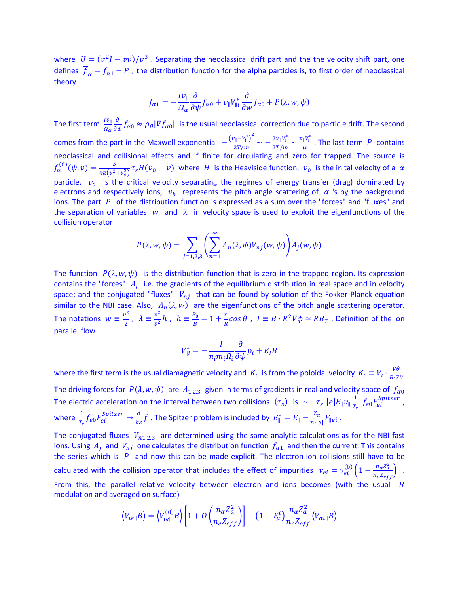where  $U = (v^2I - vv)/v^3$  . Separating the neoclassical drift part and the the velocity shift part, one defines  $\overline{f}_\alpha = f_{\alpha 1} + P$ , the distribution function for the alpha particles is, to first order of neoclassical theory

$$
f_{\alpha 1} = -\frac{I v_{\parallel}}{\Omega_{\alpha}} \frac{\partial}{\partial \psi} f_{\alpha 0} + v_{\parallel} V_{\parallel i}^* \frac{\partial}{\partial w} f_{\alpha 0} + P(\lambda, w, \psi)
$$

The first term  $\frac{I v_{\parallel}}{\Omega_{\alpha}}$  $\frac{\partial}{\partial \psi} f_{\alpha 0} \approx \rho_\theta |\nabla f_{\alpha 0}|$  is the usual neoclassical correction due to particle drift. The second comes from the part in the Maxwell exponential  $-\frac{(v_{\parallel}-v_i^*)^2}{2T/m}$  $\frac{v_{\parallel} - V_i^*}{2T/m} \sim -\frac{2v_{\parallel}V_i^*}{2T/m}$  $\frac{2v_{\parallel}V_i^*}{2T/m} \sim \frac{v_{\parallel}V_i^*}{w}$  $\frac{V'i}{W}$ . The last term P contains neoclassical and collisional effects and if finite for circulating and zero for trapped. The source is  $f_{\alpha}^{(0)}(\psi, v) = \frac{S}{4\pi (v^2)}$  $\frac{3}{4\pi(v^2+v_c^3)}\tau_sH(v_0-v)$  where H is the Heaviside function,  $v_0$  is the inital velocity of a  $\alpha$ particle,  $v_c$  is the critical velocity separating the regimes of energy transfer (drag) dominated by electrons and respectively ions,  $v_b$  represents the pitch angle scattering of  $\alpha$  's by the background ions. The part  $P$  of the distribution function is expressed as a sum over the "forces" and "fluxes" and the separation of variables w and  $\lambda$  in velocity space is used to exploit the eigenfunctions of the collision operator

$$
P(\lambda, w, \psi) = \sum_{j=1,2,3} \left( \sum_{n=1}^{\infty} \Lambda_n(\lambda, \psi) V_{nj}(w, \psi) \right) A_j(w, \psi)
$$

The function  $P(\lambda, w, \psi)$  is the distribution function that is zero in the trapped region. Its expression contains the "forces"  $A_j$  i.e. the gradients of the equilibrium distribution in real space and in velocity space; and the conjugated "fluxes"  $V_{ni}$  that can be found by solution of the Fokker Planck equation similar to the NBI case. Also,  $\Lambda_n(\lambda, w)$  are the eigenfunctions of the pitch angle scattering operator. The notations  $w \equiv \frac{v^2}{2}$  $\frac{v^2}{2}$ ,  $\lambda \equiv \frac{v_{\perp}^2}{v^2}$  $\frac{v_{\perp}^2}{v^2}h$  ,  $h \equiv \frac{B_0}{B}$  $\frac{B_0}{B} = 1 + \frac{r}{R}$  $\frac{r}{R}$ cos  $\theta$ ,  $I \equiv B \cdot R^2 \nabla \phi \simeq R B_T$ . Definition of the ion parallel flow

$$
V_{\parallel i}^* = -\frac{I}{n_i m_i \Omega_i} \frac{\partial}{\partial \psi} p_i + K_i B
$$

where the first term is the usual diamagnetic velocity and  $K_i$  is from the poloidal velocity  $K_i \equiv V_i \cdot \frac{\nabla \theta}{R_i \cdot \nabla \theta}$  $B\cdot \nabla \theta$ The driving forces for  $P(\lambda, w, \psi)$  are  $A_{1,2,3}$  given in terms of gradients in real and velocity space of  $f_{\alpha 0}$ The electric acceleration on the interval between two collisions  $(\tau_s)$  is  $\sim \tau_s |e| E_{\parallel} v_{\parallel} \frac{1}{r}$  $\frac{1}{T_e}$   $f_{e0}F_{ei}^{Spitzer}$ , where  $\frac{1}{T_e}f_{e0}F_{ei}^{Spitzer} \to \frac{\partial}{\partial \varepsilon}f$  . The Spitzer problem is included by  $E^*_{\parallel}=E_{\parallel}-\frac{Z_{\alpha}}{n_i|e}$  $\frac{Z_{\alpha}}{n_{i}|e|}F_{\parallel}e_{i}$ .

The conjugated fluxes  $V_{n1,2,3}$  are determined using the same analytic calculations as for the NBI fast ions. Using  $A_j$  and  $V_{nj}$  one calculates the distribution function  $f_{\alpha 1}$  and then the current. This contains the series which is  $P$  and now this can be made explicit. The electron-ion collisions still have to be calculated with the collision operator that includes the effect of impurities  $v_{ei} = v_{ei}^{(0)} \left(1 + \frac{n_a Z_a^2}{n_e Z_{eff}}\right)$ . From this, the parallel relative velocity between electron and ions becomes (with the usual  $B$ modulation and averaged on surface)

$$
\langle V_{ie\parallel}B \rangle = \langle V_{ie\parallel}^{(0)}B \rangle \bigg[ 1 + O\left(\frac{n_{\alpha}Z_{a}^{2}}{n_{e}Z_{eff}}\right) \bigg] - \left(1 - F_{\mu}^{i}\right) \frac{n_{\alpha}Z_{a}^{2}}{n_{e}Z_{eff}} \langle V_{\alpha i\parallel}B \rangle
$$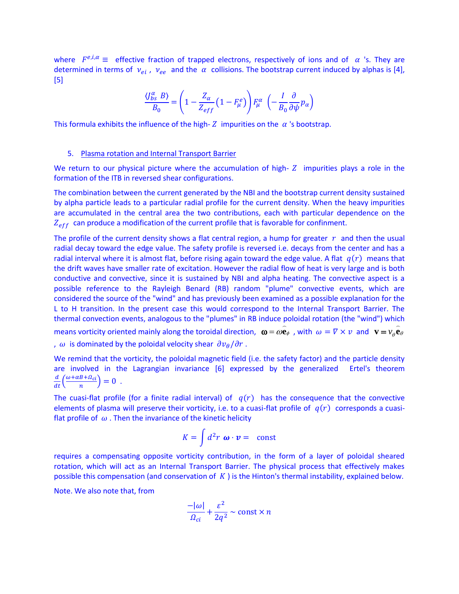where  $F^{e,i,\alpha} \equiv$  effective fraction of trapped electrons, respectively of ions and of  $\alpha$  's. They are determined in terms of  $v_{ei}$ ,  $v_{ee}$  and the  $\alpha$  collisions. The bootstrap current induced by alphas is [4], [5]

$$
\frac{\langle J_{bs}^{\alpha} B \rangle}{B_0} = \left(1 - \frac{Z_{\alpha}}{Z_{eff}} \left(1 - F_{\mu}^{e}\right)\right) F_{\mu}^{\alpha} \left(-\frac{I}{B_0} \frac{\partial}{\partial \psi} p_{\alpha}\right)
$$

This formula exhibits the influence of the high-  $Z$  impurities on the  $\alpha$  's bootstrap.

### 5. Plasma rotation and Internal Transport Barrier

We return to our physical picture where the accumulation of high- $Z$  impurities plays a role in the formation of the ITB in reversed shear configurations.

The combination between the current generated by the NBI and the bootstrap current density sustained by alpha particle leads to a particular radial profile for the current density. When the heavy impurities are accumulated in the central area the two contributions, each with particular dependence on the  $Z_{eff}$  can produce a modification of the current profile that is favorable for confinment.

The profile of the current density shows a flat central region, a hump for greater  $r$  and then the usual radial decay toward the edge value. The safety profile is reversed i.e. decays from the center and has a radial interval where it is almost flat, before rising again toward the edge value. A flat  $q(r)$  means that the drift waves have smaller rate of excitation. However the radial flow of heat is very large and is both conductive and convective, since it is sustained by NBI and alpha heating. The convective aspect is a possible reference to the Rayleigh Benard (RB) random "plume" convective events, which are considered the source of the "wind" and has previously been examined as a possible explanation for the L to H transition. In the present case this would correspond to the Internal Transport Barrier. The thermal convection events, analogous to the "plumes" in RB induce poloidal rotation (the "wind") which means vorticity oriented mainly along the toroidal direction,  $\omega = \omega \mathbf{e}_\phi$ , with  $\omega = \nabla \times v$  and  $\mathbf{v} = v_\phi \mathbf{e}_\theta$ ,  $\omega$  is dominated by the poloidal velocity shear  $\frac{\partial v_{\theta}}{\partial r}$ .

We remind that the vorticity, the poloidal magnetic field (i.e. the safety factor) and the particle density are involved in the Lagrangian invariance [6] expressed by the generalized Ertel's theorem  $\frac{d}{dt}\left(\frac{\omega + \alpha B + \Omega_{ci}}{n}\right)$  $\frac{B+32c}{n} = 0$ .

The cuasi-flat profile (for a finite radial interval) of  $q(r)$  has the consequence that the convective elements of plasma will preserve their vorticity, i.e. to a cuasi-flat profile of  $q(r)$  corresponds a cuasiflat profile of  $\omega$ . Then the invariance of the kinetic helicity

$$
K = \int d^2r \; \boldsymbol{\omega} \cdot \boldsymbol{v} = \text{ const}
$$

requires a compensating opposite vorticity contribution, in the form of a layer of poloidal sheared rotation, which will act as an Internal Transport Barrier. The physical process that effectively makes possible this compensation (and conservation of  $K$ ) is the Hinton's thermal instability, explained below.

Note. We also note that, from

$$
\frac{-|\omega|}{\Omega_{ci}} + \frac{\varepsilon^2}{2q^2} \sim \text{const} \times n
$$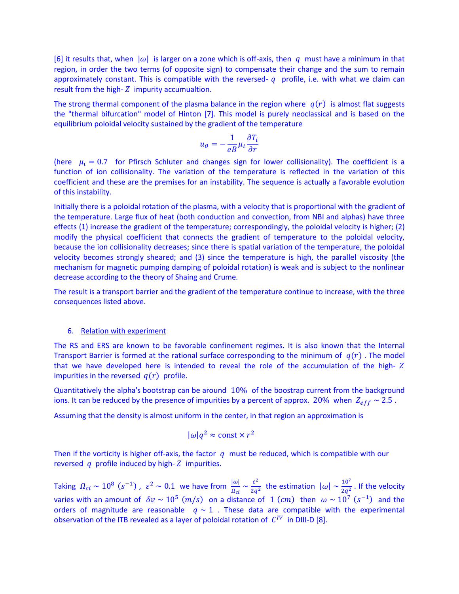[6] it results that, when  $|\omega|$  is larger on a zone which is off-axis, then q must have a minimum in that region, in order the two terms (of opposite sign) to compensate their change and the sum to remain approximately constant. This is compatible with the reversed-  $q$  profile, i.e. with what we claim can result from the high- $Z$  impurity accumualtion.

The strong thermal component of the plasma balance in the region where  $q(r)$  is almost flat suggests the "thermal bifurcation" model of Hinton [7]. This model is purely neoclassical and is based on the equilibrium poloidal velocity sustained by the gradient of the temperature

$$
u_{\theta} = -\frac{1}{eB} \mu_i \frac{\partial T_i}{\partial r}
$$

(here  $\mu_i = 0.7$  for Pfirsch Schluter and changes sign for lower collisionality). The coefficient is a function of ion collisionality. The variation of the temperature is reflected in the variation of this coefficient and these are the premises for an instability. The sequence is actually a favorable evolution of this instability.

Initially there is a poloidal rotation of the plasma, with a velocity that is proportional with the gradient of the temperature. Large flux of heat (both conduction and convection, from NBI and alphas) have three effects (1) increase the gradient of the temperature; correspondingly, the poloidal velocity is higher; (2) modify the physical coefficient that connects the gradient of temperature to the poloidal velocity, because the ion collisionality decreases; since there is spatial variation of the temperature, the poloidal velocity becomes strongly sheared; and (3) since the temperature is high, the parallel viscosity (the mechanism for magnetic pumping damping of poloidal rotation) is weak and is subject to the nonlinear decrease according to the theory of Shaing and Crume.

The result is a transport barrier and the gradient of the temperature continue to increase, with the three consequences listed above.

# 6. Relation with experiment

The RS and ERS are known to be favorable confinement regimes. It is also known that the Internal Transport Barrier is formed at the rational surface corresponding to the minimum of  $q(r)$ . The model that we have developed here is intended to reveal the role of the accumulation of the high impurities in the reversed  $q(r)$  profile.

Quantitatively the alpha's bootstrap can be around 10% of the boostrap current from the background ions. It can be reduced by the presence of impurities by a percent of approx. 20% when  $Z_{eff} \sim 2.5$ .

Assuming that the density is almost uniform in the center, in that region an approximation is

$$
|\omega|q^2 \approx \text{const} \times r^2
$$

Then if the vorticity is higher off-axis, the factor  $q$  must be reduced, which is compatible with our reversed  $q$  profile induced by high- $Z$  impurities.

Taking  $\Omega_{ci} \sim 10^8 \ (s^{-1})$  ,  $\varepsilon^2 \sim 0.1$  we have from  $\frac{|\omega|}{\Omega_{ci}} \sim \frac{\varepsilon^2}{2q^2}$  $rac{\varepsilon^2}{2q^2}$  the estimation  $|\omega| \sim \frac{10^7}{2q^2}$  $\frac{10}{2q^2}$ . If the velocity varies with an amount of  $\delta v \sim 10^5$   $(m/s)$  on a distance of  $1$   $(cm)$  then  $\omega \sim 10^7$   $(s^{-1})$  and the orders of magnitude are reasonable  $q \sim 1$ . These data are compatible with the experimental observation of the ITB revealed as a layer of poloidal rotation of  $|C^{IV}|$  in DIII-D [8].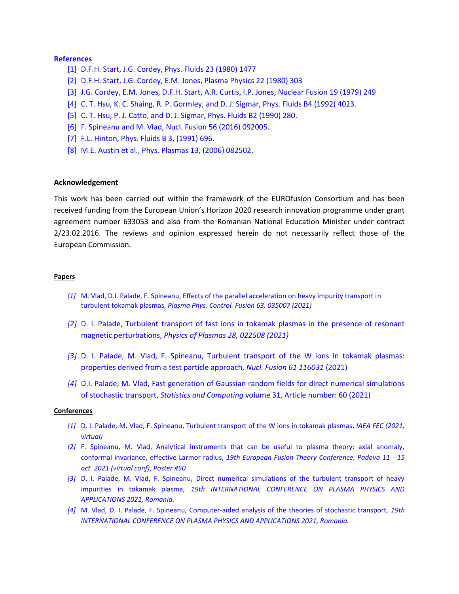# **References**

- [1] D.F.H. Start, J.G. Cordey, Phys. Fluids 23 (1980) 1477
- [2] D.F.H. Start, J.G. Cordey, E.M. Jones, Plasma Physics 22 (1980) 303
- [3] J.G. Cordey, E.M. Jones, D.F.H. Start, A.R. Curtis, I.P. Jones, Nuclear Fusion 19 (1979) 249
- [4] C. T. Hsu, K. C. Shaing, R. P. Gormley, and D. J. Sigmar, Phys. Fluids B4 (1992) 4023.
- [5] C. T. Hsu, P. J. Catto, and D. J. Sigmar, Phys. Fluids B2 (1990) 280.
- [6] F. Spineanu and M. Vlad, Nucl. Fusion 56 (2016) 092005.
- [7] F.L. Hinton, Phys. Fluids B 3, (1991) 696.
- [8] M.E. Austin et al., Phys. Plasmas 13, (2006) 082502.

# **Acknowledgement**

This work has been carried out within the framework of the EUROfusion Consortium and has been received funding from the European Union's Horizon 2020 research innovation programme under grant agreement number 633053 and also from the Romanian National Education Minister under contract 2/23.02.2016. The reviews and opinion expressed herein do not necessarily reflect those of the European Commission.

#### **Papers**

- *[1]* M. Vlad, D.I. Palade, F. Spineanu, Effects of the parallel acceleration on heavy impurity transport in turbulent tokamak plasmas, *Plasma Phys. Control. Fusion 63, 035007 (2021)*
- *[2]* D. I. Palade, Turbulent transport of fast ions in tokamak plasmas in the presence of resonant magnetic perturbations, *Physics of Plasmas 28, 022508 (2021)*
- *[3]* D. I. Palade, M. Vlad, F. Spineanu, Turbulent transport of the W ions in tokamak plasmas: properties derived from a test particle approach, *Nucl. Fusion 61 116031* (2021)
- *[4]* D.I. Palade, M. Vlad, Fast generation of Gaussian random fields for direct numerical simulations of stochastic transport, *Statistics and Computing* volume 31, Article number: 60 (2021)

#### **Conferences**

- *[1]* D. I. Palade, M. Vlad, F. Spineanu, Turbulent transport of the W ions in tokamak plasmas, *IAEA FEC (2021, virtual)*
- *[2]* F. Spineanu, M. Vlad, Analytical instruments that can be useful to plasma theory: axial anomaly, conformal invariance, effective Larmor radius, *19th European Fusion Theory Conference, Padova 11 - 15 oct. 2021 (virtual conf)*, *Poster #50*
- *[3]* D. I. Palade, M. Vlad, F. Spineanu, Direct numerical simulations of the turbulent transport of heavy impurities in tokamak plasma, *19th INTERNATIONAL CONFERENCE ON PLASMA PHYSICS AND APPLICATIONS 2021, Romania.*
- *[4]* M. Vlad, D. I. Palade, F. Spineanu, Computer-aided analysis of the theories of stochastic transport, *19th INTERNATIONAL CONFERENCE ON PLASMA PHYSICS AND APPLICATIONS 2021, Romania.*